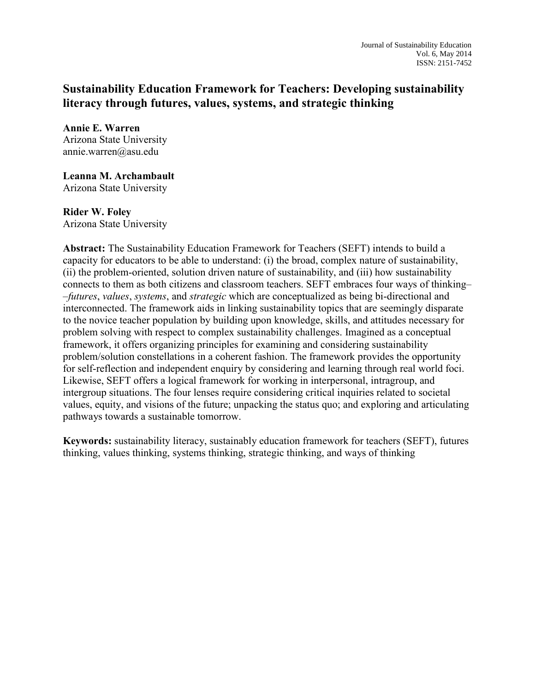# **Sustainability Education Framework for Teachers: Developing sustainability literacy through futures, values, systems, and strategic thinking**

**Annie E. Warren** Arizona State University annie.warren@asu.edu

**Leanna M. Archambault** Arizona State University

**Rider W. Foley** Arizona State University

**Abstract:** The Sustainability Education Framework for Teachers (SEFT) intends to build a capacity for educators to be able to understand: (i) the broad, complex nature of sustainability, (ii) the problem-oriented, solution driven nature of sustainability, and (iii) how sustainability connects to them as both citizens and classroom teachers. SEFT embraces four ways of thinking– –*futures*, *values*, *systems*, and *strategic* which are conceptualized as being bi-directional and interconnected. The framework aids in linking sustainability topics that are seemingly disparate to the novice teacher population by building upon knowledge, skills, and attitudes necessary for problem solving with respect to complex sustainability challenges. Imagined as a conceptual framework, it offers organizing principles for examining and considering sustainability problem/solution constellations in a coherent fashion. The framework provides the opportunity for self-reflection and independent enquiry by considering and learning through real world foci. Likewise, SEFT offers a logical framework for working in interpersonal, intragroup, and intergroup situations. The four lenses require considering critical inquiries related to societal values, equity, and visions of the future; unpacking the status quo; and exploring and articulating pathways towards a sustainable tomorrow.

**Keywords:** sustainability literacy, sustainably education framework for teachers (SEFT), futures thinking, values thinking, systems thinking, strategic thinking, and ways of thinking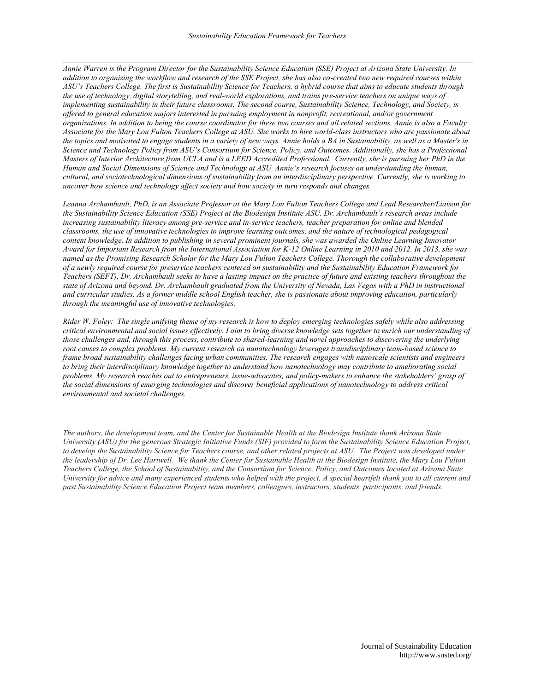*Annie Warren is the Program Director for the Sustainability Science Education (SSE) Project at Arizona State University. In addition to organizing the workflow and research of the SSE Project, she has also co-created two new required courses within ASU's Teachers College. The first is Sustainability Science for Teachers, a hybrid course that aims to educate students through the use of technology, digital storytelling, and real-world explorations, and trains pre-service teachers on unique ways of implementing sustainability in their future classrooms. The second course, Sustainability Science, Technology, and Society, is offered to general education majors interested in pursuing employment in nonprofit, recreational, and/or government organizations. In addition to being the course coordinator for these two courses and all related sections, Annie is also a Faculty Associate for the Mary Lou Fulton Teachers College at ASU. She works to hire world-class instructors who are passionate about the topics and motivated to engage students in a variety of new ways. Annie holds a BA in Sustainability, as well as a Master's in Science and Technology Policy from ASU's Consortium for Science, Policy, and Outcomes. Additionally, she has a Professional Masters of Interior Architecture from UCLA and is a LEED Accredited Professional. Currently, she is pursuing her PhD in the Human and Social Dimensions of Science and Technology at ASU. Annie's research focuses on understanding the human, cultural, and sociotechnological dimensions of sustainability from an interdisciplinary perspective. Currently, she is working to uncover how science and technology affect society and how society in turn responds and changes.*

*Leanna Archambault, PhD, is an Associate Professor at the Mary Lou Fulton Teachers College and Lead Researcher/Liaison for the Sustainability Science Education (SSE) Project at the Biodesign Institute ASU. Dr. Archambault's research areas include increasing sustainability literacy among pre-service and in-service teachers, teacher preparation for online and blended classrooms, the use of innovative technologies to improve learning outcomes, and the nature of technological pedagogical content knowledge. In addition to publishing in several prominent journals, she was awarded the Online Learning Innovator Award for Important Research from the International Association for K-12 Online Learning in 2010 and 2012. In 2013, she was named as the Promising Research Scholar for the Mary Lou Fulton Teachers College. Thorough the collaborative development of a newly required course for preservice teachers centered on sustainability and the Sustainability Education Framework for Teachers (SEFT), Dr. Archambault seeks to have a lasting impact on the practice of future and existing teachers throughout the state of Arizona and beyond. Dr. Archambault graduated from the University of Nevada, Las Vegas with a PhD in instructional*  and curricular studies. As a former middle school English teacher, she is passionate about improving education, particularly *through the meaningful use of innovative technologies.*

*Rider W. Foley: The single unifying theme of my research is how to deploy emerging technologies safely while also addressing critical environmental and social issues effectively. I aim to bring diverse knowledge sets together to enrich our understanding of those challenges and, through this process, contribute to shared-learning and novel approaches to discovering the underlying root causes to complex problems. My current research on nanotechnology leverages transdisciplinary team-based science to frame broad sustainability challenges facing urban communities. The research engages with nanoscale scientists and engineers to bring their interdisciplinary knowledge together to understand how nanotechnology may contribute to ameliorating social problems. My research reaches out to entrepreneurs, issue-advocates, and policy-makers to enhance the stakeholders' grasp of the social dimensions of emerging technologies and discover beneficial applications of nanotechnology to address critical environmental and societal challenges.*

*The authors, the development team, and the Center for Sustainable Health at the Biodesign Institute thank Arizona State University (ASU) for the generous Strategic Initiative Funds (SIF) provided to form the Sustainability Science Education Project, to develop the Sustainability Science for Teachers course, and other related projects at ASU. The Project was developed under the leadership of Dr. Lee Hartwell. We thank the Center for Sustainable Health at the Biodesign Institute, the Mary Lou Fulton Teachers College, the School of Sustainability, and the Consortium for Science, Policy, and Outcomes located at Arizona State University for advice and many experienced students who helped with the project. A special heartfelt thank you to all current and past Sustainability Science Education Project team members, colleagues, instructors, students, participants, and friends.*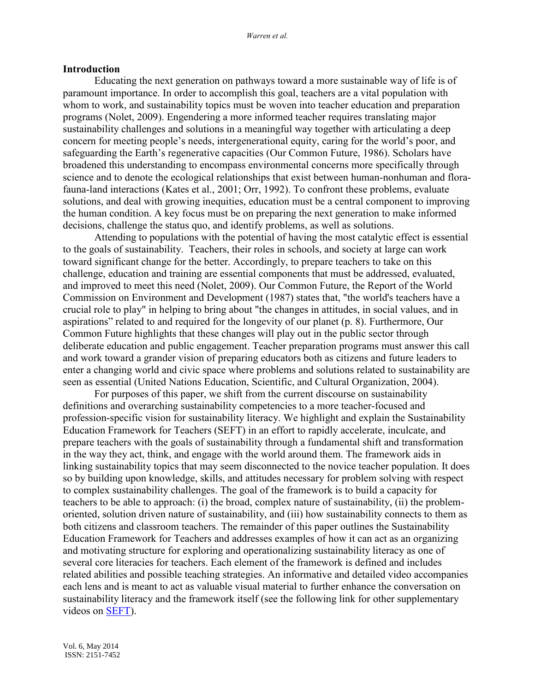#### **Introduction**

Educating the next generation on pathways toward a more sustainable way of life is of paramount importance. In order to accomplish this goal, teachers are a vital population with whom to work, and sustainability topics must be woven into teacher education and preparation programs (Nolet, 2009). Engendering a more informed teacher requires translating major sustainability challenges and solutions in a meaningful way together with articulating a deep concern for meeting people's needs, intergenerational equity, caring for the world's poor, and safeguarding the Earth's regenerative capacities (Our Common Future, 1986). Scholars have broadened this understanding to encompass environmental concerns more specifically through science and to denote the ecological relationships that exist between human-nonhuman and florafauna-land interactions (Kates et al., 2001; Orr, 1992). To confront these problems, evaluate solutions, and deal with growing inequities, education must be a central component to improving the human condition. A key focus must be on preparing the next generation to make informed decisions, challenge the status quo, and identify problems, as well as solutions.

Attending to populations with the potential of having the most catalytic effect is essential to the goals of sustainability. Teachers, their roles in schools, and society at large can work toward significant change for the better. Accordingly, to prepare teachers to take on this challenge, education and training are essential components that must be addressed, evaluated, and improved to meet this need (Nolet, 2009). Our Common Future, the Report of the World Commission on Environment and Development (1987) states that, "the world's teachers have a crucial role to play" in helping to bring about "the changes in attitudes, in social values, and in aspirations" related to and required for the longevity of our planet (p. 8). Furthermore, Our Common Future highlights that these changes will play out in the public sector through deliberate education and public engagement. Teacher preparation programs must answer this call and work toward a grander vision of preparing educators both as citizens and future leaders to enter a changing world and civic space where problems and solutions related to sustainability are seen as essential (United Nations Education, Scientific, and Cultural Organization, 2004).

For purposes of this paper, we shift from the current discourse on sustainability definitions and overarching sustainability competencies to a more teacher-focused and profession-specific vision for sustainability literacy. We highlight and explain the Sustainability Education Framework for Teachers (SEFT) in an effort to rapidly accelerate, inculcate, and prepare teachers with the goals of sustainability through a fundamental shift and transformation in the way they act, think, and engage with the world around them. The framework aids in linking sustainability topics that may seem disconnected to the novice teacher population. It does so by building upon knowledge, skills, and attitudes necessary for problem solving with respect to complex sustainability challenges. The goal of the framework is to build a capacity for teachers to be able to approach: (i) the broad, complex nature of sustainability, (ii) the problemoriented, solution driven nature of sustainability, and (iii) how sustainability connects to them as both citizens and classroom teachers. The remainder of this paper outlines the Sustainability Education Framework for Teachers and addresses examples of how it can act as an organizing and motivating structure for exploring and operationalizing sustainability literacy as one of several core literacies for teachers. Each element of the framework is defined and includes related abilities and possible teaching strategies. An informative and detailed video accompanies each lens and is meant to act as valuable visual material to further enhance the conversation on sustainability literacy and the framework itself (see the following link for other supplementary videos on [SEFT\)](http://sustainabilityscienceeducation.asu.edu/course/sustainability-competencies/).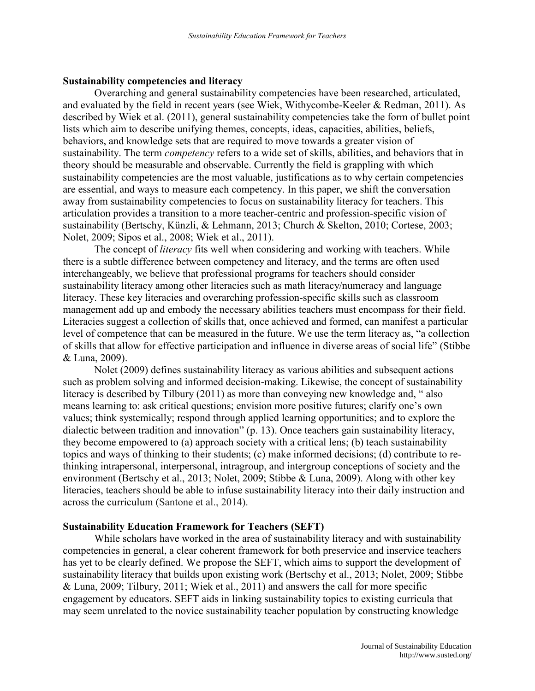### **Sustainability competencies and literacy**

Overarching and general sustainability competencies have been researched, articulated, and evaluated by the field in recent years (see Wiek, Withycombe-Keeler & Redman, 2011). As described by Wiek et al. (2011), general sustainability competencies take the form of bullet point lists which aim to describe unifying themes, concepts, ideas, capacities, abilities, beliefs, behaviors, and knowledge sets that are required to move towards a greater vision of sustainability. The term *competency* refers to a wide set of skills, abilities, and behaviors that in theory should be measurable and observable. Currently the field is grappling with which sustainability competencies are the most valuable, justifications as to why certain competencies are essential, and ways to measure each competency. In this paper, we shift the conversation away from sustainability competencies to focus on sustainability literacy for teachers. This articulation provides a transition to a more teacher-centric and profession-specific vision of sustainability (Bertschy, Künzli, & Lehmann, 2013; Church & Skelton, 2010; Cortese, 2003; Nolet, 2009; Sipos et al., 2008; Wiek et al., 2011).

The concept of *literacy* fits well when considering and working with teachers. While there is a subtle difference between competency and literacy, and the terms are often used interchangeably, we believe that professional programs for teachers should consider sustainability literacy among other literacies such as math literacy/numeracy and language literacy. These key literacies and overarching profession-specific skills such as classroom management add up and embody the necessary abilities teachers must encompass for their field. Literacies suggest a collection of skills that, once achieved and formed, can manifest a particular level of competence that can be measured in the future. We use the term literacy as, "a collection of skills that allow for effective participation and influence in diverse areas of social life" (Stibbe & Luna, 2009).

Nolet (2009) defines sustainability literacy as various abilities and subsequent actions such as problem solving and informed decision-making. Likewise, the concept of sustainability literacy is described by Tilbury  $(2011)$  as more than conveying new knowledge and,  $\degree$  also means learning to: ask critical questions; envision more positive futures; clarify one's own values; think systemically; respond through applied learning opportunities; and to explore the dialectic between tradition and innovation" (p. 13). Once teachers gain sustainability literacy, they become empowered to (a) approach society with a critical lens; (b) teach sustainability topics and ways of thinking to their students; (c) make informed decisions; (d) contribute to rethinking intrapersonal, interpersonal, intragroup, and intergroup conceptions of society and the environment (Bertschy et al., 2013; Nolet, 2009; Stibbe & Luna, 2009). Along with other key literacies, teachers should be able to infuse sustainability literacy into their daily instruction and across the curriculum (Santone et al., 2014).

### **Sustainability Education Framework for Teachers (SEFT)**

While scholars have worked in the area of sustainability literacy and with sustainability competencies in general, a clear coherent framework for both preservice and inservice teachers has yet to be clearly defined. We propose the SEFT, which aims to support the development of sustainability literacy that builds upon existing work (Bertschy et al., 2013; Nolet, 2009; Stibbe & Luna, 2009; Tilbury, 2011; Wiek et al., 2011) and answers the call for more specific engagement by educators. SEFT aids in linking sustainability topics to existing curricula that may seem unrelated to the novice sustainability teacher population by constructing knowledge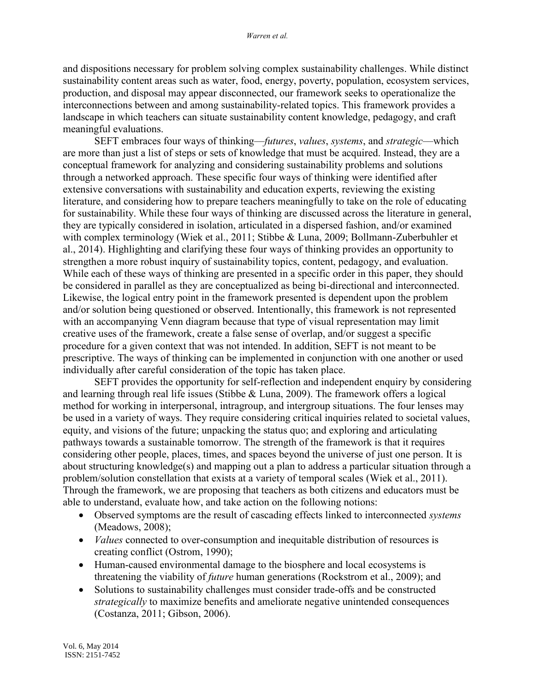and dispositions necessary for problem solving complex sustainability challenges. While distinct sustainability content areas such as water, food, energy, poverty, population, ecosystem services, production, and disposal may appear disconnected, our framework seeks to operationalize the interconnections between and among sustainability-related topics. This framework provides a landscape in which teachers can situate sustainability content knowledge, pedagogy, and craft meaningful evaluations.

SEFT embraces four ways of thinking––*futures*, *values*, *systems*, and *strategic*––which are more than just a list of steps or sets of knowledge that must be acquired. Instead, they are a conceptual framework for analyzing and considering sustainability problems and solutions through a networked approach. These specific four ways of thinking were identified after extensive conversations with sustainability and education experts, reviewing the existing literature, and considering how to prepare teachers meaningfully to take on the role of educating for sustainability. While these four ways of thinking are discussed across the literature in general, they are typically considered in isolation, articulated in a dispersed fashion, and/or examined with complex terminology (Wiek et al., 2011; Stibbe & Luna, 2009; Bollmann-Zuberbuhler et al., 2014). Highlighting and clarifying these four ways of thinking provides an opportunity to strengthen a more robust inquiry of sustainability topics, content, pedagogy, and evaluation. While each of these ways of thinking are presented in a specific order in this paper, they should be considered in parallel as they are conceptualized as being bi-directional and interconnected. Likewise, the logical entry point in the framework presented is dependent upon the problem and/or solution being questioned or observed. Intentionally, this framework is not represented with an accompanying Venn diagram because that type of visual representation may limit creative uses of the framework, create a false sense of overlap, and/or suggest a specific procedure for a given context that was not intended. In addition, SEFT is not meant to be prescriptive. The ways of thinking can be implemented in conjunction with one another or used individually after careful consideration of the topic has taken place.

SEFT provides the opportunity for self-reflection and independent enquiry by considering and learning through real life issues (Stibbe & Luna, 2009). The framework offers a logical method for working in interpersonal, intragroup, and intergroup situations. The four lenses may be used in a variety of ways. They require considering critical inquiries related to societal values, equity, and visions of the future; unpacking the status quo; and exploring and articulating pathways towards a sustainable tomorrow. The strength of the framework is that it requires considering other people, places, times, and spaces beyond the universe of just one person. It is about structuring knowledge(s) and mapping out a plan to address a particular situation through a problem/solution constellation that exists at a variety of temporal scales (Wiek et al., 2011). Through the framework, we are proposing that teachers as both citizens and educators must be able to understand, evaluate how, and take action on the following notions:

- Observed symptoms are the result of cascading effects linked to interconnected *systems* (Meadows, 2008);
- *Values* connected to over-consumption and inequitable distribution of resources is creating conflict (Ostrom, 1990);
- Human-caused environmental damage to the biosphere and local ecosystems is threatening the viability of *future* human generations (Rockstrom et al., 2009); and
- Solutions to sustainability challenges must consider trade-offs and be constructed *strategically* to maximize benefits and ameliorate negative unintended consequences (Costanza, 2011; Gibson, 2006).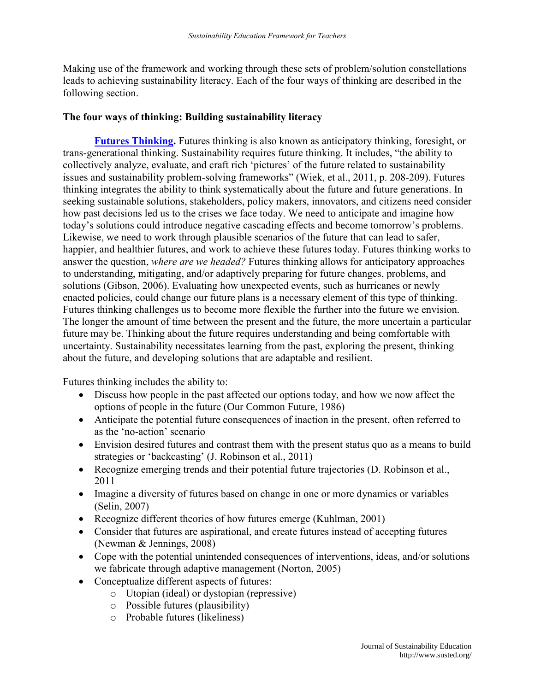Making use of the framework and working through these sets of problem/solution constellations leads to achieving sustainability literacy. Each of the four ways of thinking are described in the following section.

## **The four ways of thinking: Building sustainability literacy**

**[Futures Thinking.](http://sustainabilityscienceeducation.asu.edu/course/sustainability-competencies/futures-thinking/)** Futures thinking is also known as anticipatory thinking, foresight, or trans-generational thinking. Sustainability requires future thinking. It includes, "the ability to collectively analyze, evaluate, and craft rich 'pictures' of the future related to sustainability issues and sustainability problem-solving frameworks" (Wiek, et al., 2011, p. 208-209). Futures thinking integrates the ability to think systematically about the future and future generations. In seeking sustainable solutions, stakeholders, policy makers, innovators, and citizens need consider how past decisions led us to the crises we face today. We need to anticipate and imagine how today's solutions could introduce negative cascading effects and become tomorrow's problems. Likewise, we need to work through plausible scenarios of the future that can lead to safer, happier, and healthier futures, and work to achieve these futures today. Futures thinking works to answer the question, *where are we headed?* Futures thinking allows for anticipatory approaches to understanding, mitigating, and/or adaptively preparing for future changes, problems, and solutions (Gibson, 2006). Evaluating how unexpected events, such as hurricanes or newly enacted policies, could change our future plans is a necessary element of this type of thinking. Futures thinking challenges us to become more flexible the further into the future we envision. The longer the amount of time between the present and the future, the more uncertain a particular future may be. Thinking about the future requires understanding and being comfortable with uncertainty. Sustainability necessitates learning from the past, exploring the present, thinking about the future, and developing solutions that are adaptable and resilient.

Futures thinking includes the ability to:

- Discuss how people in the past affected our options today, and how we now affect the options of people in the future (Our Common Future, 1986)
- Anticipate the potential future consequences of inaction in the present, often referred to as the 'no-action' scenario
- Envision desired futures and contrast them with the present status quo as a means to build strategies or 'backcasting' (J. Robinson et al., 2011)
- Recognize emerging trends and their potential future trajectories (D. Robinson et al., 2011
- Imagine a diversity of futures based on change in one or more dynamics or variables (Selin, 2007)
- Recognize different theories of how futures emerge (Kuhlman, 2001)
- Consider that futures are aspirational, and create futures instead of accepting futures (Newman & Jennings, 2008)
- Cope with the potential unintended consequences of interventions, ideas, and/or solutions we fabricate through adaptive management (Norton, 2005)
- Conceptualize different aspects of futures:
	- o Utopian (ideal) or dystopian (repressive)
	- o Possible futures (plausibility)
	- o Probable futures (likeliness)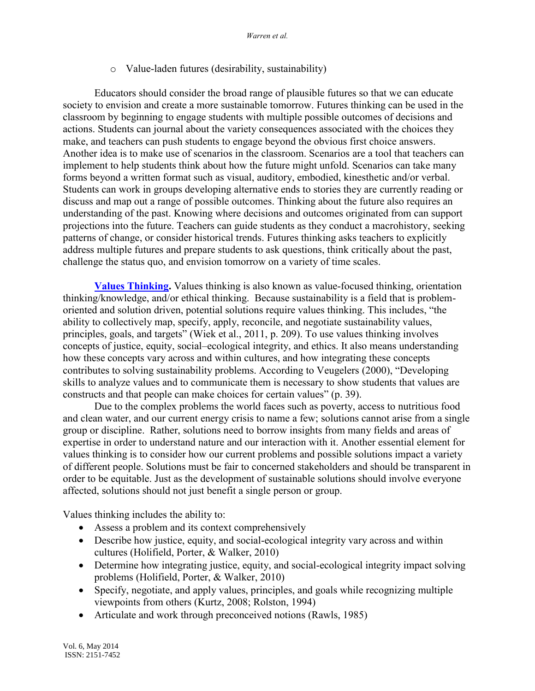## o Value-laden futures (desirability, sustainability)

Educators should consider the broad range of plausible futures so that we can educate society to envision and create a more sustainable tomorrow. Futures thinking can be used in the classroom by beginning to engage students with multiple possible outcomes of decisions and actions. Students can journal about the variety consequences associated with the choices they make, and teachers can push students to engage beyond the obvious first choice answers. Another idea is to make use of scenarios in the classroom. Scenarios are a tool that teachers can implement to help students think about how the future might unfold. Scenarios can take many forms beyond a written format such as visual, auditory, embodied, kinesthetic and/or verbal. Students can work in groups developing alternative ends to stories they are currently reading or discuss and map out a range of possible outcomes. Thinking about the future also requires an understanding of the past. Knowing where decisions and outcomes originated from can support projections into the future. Teachers can guide students as they conduct a macrohistory, seeking patterns of change, or consider historical trends. Futures thinking asks teachers to explicitly address multiple futures and prepare students to ask questions, think critically about the past, challenge the status quo, and envision tomorrow on a variety of time scales.

**[Values Thinking.](http://sustainabilityscienceeducation.asu.edu/course/sustainability-competencies/values-thinking/)** Values thinking is also known as value-focused thinking, orientation thinking/knowledge, and/or ethical thinking. Because sustainability is a field that is problemoriented and solution driven, potential solutions require values thinking. This includes, "the ability to collectively map, specify, apply, reconcile, and negotiate sustainability values, principles, goals, and targets" (Wiek et al., 2011, p. 209). To use values thinking involves concepts of justice, equity, social–ecological integrity, and ethics. It also means understanding how these concepts vary across and within cultures, and how integrating these concepts contributes to solving sustainability problems. According to Veugelers (2000), "Developing skills to analyze values and to communicate them is necessary to show students that values are constructs and that people can make choices for certain values" (p. 39).

Due to the complex problems the world faces such as poverty, access to nutritious food and clean water, and our current energy crisis to name a few; solutions cannot arise from a single group or discipline. Rather, solutions need to borrow insights from many fields and areas of expertise in order to understand nature and our interaction with it. Another essential element for values thinking is to consider how our current problems and possible solutions impact a variety of different people. Solutions must be fair to concerned stakeholders and should be transparent in order to be equitable. Just as the development of sustainable solutions should involve everyone affected, solutions should not just benefit a single person or group.

Values thinking includes the ability to:

- Assess a problem and its context comprehensively
- Describe how justice, equity, and social-ecological integrity vary across and within cultures (Holifield, Porter, & Walker, 2010)
- Determine how integrating justice, equity, and social-ecological integrity impact solving problems (Holifield, Porter, & Walker, 2010)
- Specify, negotiate, and apply values, principles, and goals while recognizing multiple viewpoints from others (Kurtz, 2008; Rolston, 1994)
- Articulate and work through preconceived notions (Rawls, 1985)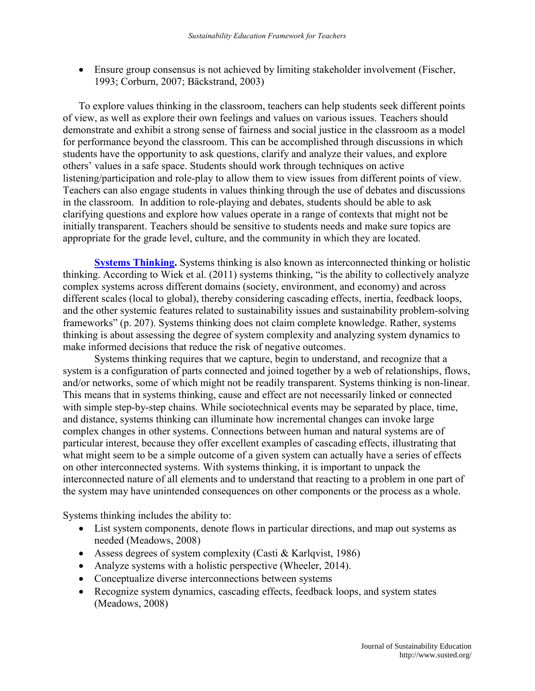Ensure group consensus is not achieved by limiting stakeholder involvement (Fischer, 1993; Corburn, 2007; Bäckstrand, 2003)

To explore values thinking in the classroom, teachers can help students seek different points of view, as well as explore their own feelings and values on various issues. Teachers should demonstrate and exhibit a strong sense of fairness and social justice in the classroom as a model for performance beyond the classroom. This can be accomplished through discussions in which students have the opportunity to ask questions, clarify and analyze their values, and explore others' values in a safe space. Students should work through techniques on active listening/participation and role-play to allow them to view issues from different points of view. Teachers can also engage students in values thinking through the use of debates and discussions in the classroom. In addition to role-playing and debates, students should be able to ask clarifying questions and explore how values operate in a range of contexts that might not be initially transparent. Teachers should be sensitive to students needs and make sure topics are appropriate for the grade level, culture, and the community in which they are located.

**[Systems Thinking.](http://sustainabilityscienceeducation.asu.edu/course/sustainability-competencies/systems-thinking/)** Systems thinking is also known as interconnected thinking or holistic thinking. According to Wiek et al. (2011) systems thinking, "is the ability to collectively analyze complex systems across different domains (society, environment, and economy) and across different scales (local to global), thereby considering cascading effects, inertia, feedback loops, and the other systemic features related to sustainability issues and sustainability problem-solving frameworks" (p. 207). Systems thinking does not claim complete knowledge. Rather, systems thinking is about assessing the degree of system complexity and analyzing system dynamics to make informed decisions that reduce the risk of negative outcomes.

Systems thinking requires that we capture, begin to understand, and recognize that a system is a configuration of parts connected and joined together by a web of relationships, flows, and/or networks, some of which might not be readily transparent. Systems thinking is non-linear. This means that in systems thinking, cause and effect are not necessarily linked or connected with simple step-by-step chains. While sociotechnical events may be separated by place, time, and distance, systems thinking can illuminate how incremental changes can invoke large complex changes in other systems. Connections between human and natural systems are of particular interest, because they offer excellent examples of cascading effects, illustrating that what might seem to be a simple outcome of a given system can actually have a series of effects on other interconnected systems. With systems thinking, it is important to unpack the interconnected nature of all elements and to understand that reacting to a problem in one part of the system may have unintended consequences on other components or the process as a whole.

Systems thinking includes the ability to:

- List system components, denote flows in particular directions, and map out systems as needed (Meadows, 2008)
- Assess degrees of system complexity (Casti & Karlqvist, 1986)
- Analyze systems with a holistic perspective (Wheeler, 2014).
- Conceptualize diverse interconnections between systems
- Recognize system dynamics, cascading effects, feedback loops, and system states (Meadows, 2008)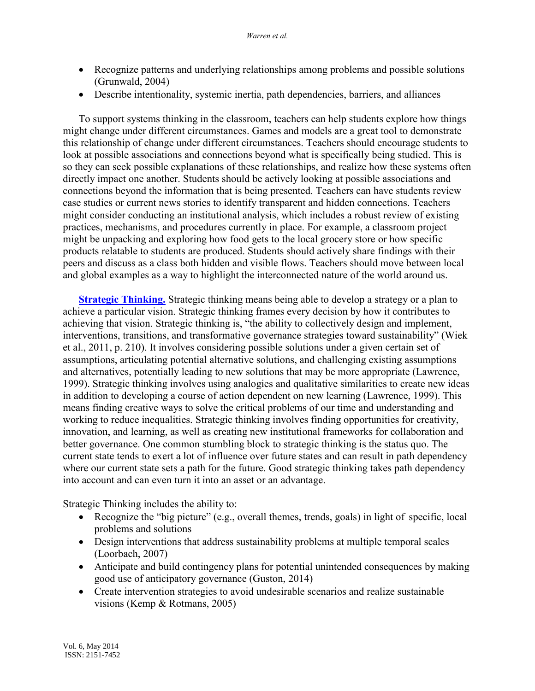- Recognize patterns and underlying relationships among problems and possible solutions (Grunwald, 2004)
- Describe intentionality, systemic inertia, path dependencies, barriers, and alliances

To support systems thinking in the classroom, teachers can help students explore how things might change under different circumstances. Games and models are a great tool to demonstrate this relationship of change under different circumstances. Teachers should encourage students to look at possible associations and connections beyond what is specifically being studied. This is so they can seek possible explanations of these relationships, and realize how these systems often directly impact one another. Students should be actively looking at possible associations and connections beyond the information that is being presented. Teachers can have students review case studies or current news stories to identify transparent and hidden connections. Teachers might consider conducting an institutional analysis, which includes a robust review of existing practices, mechanisms, and procedures currently in place. For example, a classroom project might be unpacking and exploring how food gets to the local grocery store or how specific products relatable to students are produced. Students should actively share findings with their peers and discuss as a class both hidden and visible flows. Teachers should move between local and global examples as a way to highlight the interconnected nature of the world around us.

**[Strategic Thinking.](http://sustainabilityscienceeducation.asu.edu/course/sustainability-competencies/strategic-thinking/)** Strategic thinking means being able to develop a strategy or a plan to achieve a particular vision. Strategic thinking frames every decision by how it contributes to achieving that vision. Strategic thinking is, "the ability to collectively design and implement, interventions, transitions, and transformative governance strategies toward sustainability" (Wiek et al., 2011, p. 210). It involves considering possible solutions under a given certain set of assumptions, articulating potential alternative solutions, and challenging existing assumptions and alternatives, potentially leading to new solutions that may be more appropriate (Lawrence, 1999). Strategic thinking involves using analogies and qualitative similarities to create new ideas in addition to developing a course of action dependent on new learning (Lawrence, 1999). This means finding creative ways to solve the critical problems of our time and understanding and working to reduce inequalities. Strategic thinking involves finding opportunities for creativity, innovation, and learning, as well as creating new institutional frameworks for collaboration and better governance. One common stumbling block to strategic thinking is the status quo. The current state tends to exert a lot of influence over future states and can result in path dependency where our current state sets a path for the future. Good strategic thinking takes path dependency into account and can even turn it into an asset or an advantage.

Strategic Thinking includes the ability to:

- Recognize the "big picture" (e.g., overall themes, trends, goals) in light of specific, local problems and solutions
- Design interventions that address sustainability problems at multiple temporal scales (Loorbach, 2007)
- Anticipate and build contingency plans for potential unintended consequences by making good use of anticipatory governance (Guston, 2014)
- Create intervention strategies to avoid undesirable scenarios and realize sustainable visions (Kemp & Rotmans, 2005)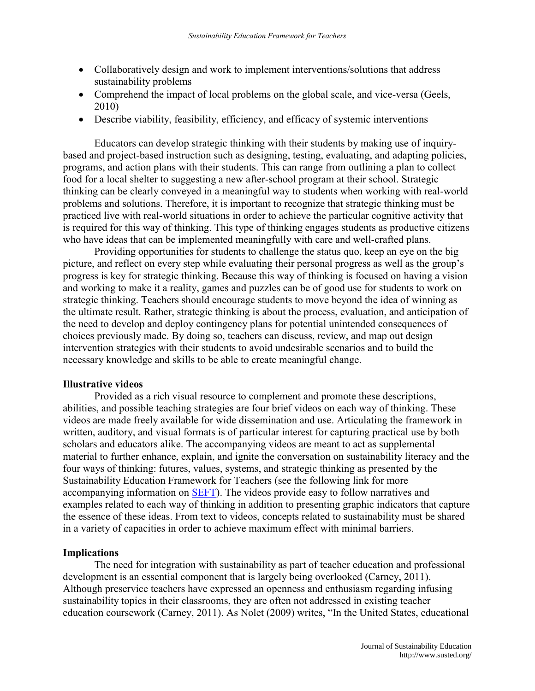- Collaboratively design and work to implement interventions/solutions that address sustainability problems
- Comprehend the impact of local problems on the global scale, and vice-versa (Geels, 2010)
- Describe viability, feasibility, efficiency, and efficacy of systemic interventions

Educators can develop strategic thinking with their students by making use of inquirybased and project-based instruction such as designing, testing, evaluating, and adapting policies, programs, and action plans with their students. This can range from outlining a plan to collect food for a local shelter to suggesting a new after-school program at their school. Strategic thinking can be clearly conveyed in a meaningful way to students when working with real-world problems and solutions. Therefore, it is important to recognize that strategic thinking must be practiced live with real-world situations in order to achieve the particular cognitive activity that is required for this way of thinking. This type of thinking engages students as productive citizens who have ideas that can be implemented meaningfully with care and well-crafted plans.

Providing opportunities for students to challenge the status quo, keep an eye on the big picture, and reflect on every step while evaluating their personal progress as well as the group's progress is key for strategic thinking. Because this way of thinking is focused on having a vision and working to make it a reality, games and puzzles can be of good use for students to work on strategic thinking. Teachers should encourage students to move beyond the idea of winning as the ultimate result. Rather, strategic thinking is about the process, evaluation, and anticipation of the need to develop and deploy contingency plans for potential unintended consequences of choices previously made. By doing so, teachers can discuss, review, and map out design intervention strategies with their students to avoid undesirable scenarios and to build the necessary knowledge and skills to be able to create meaningful change.

### **Illustrative videos**

Provided as a rich visual resource to complement and promote these descriptions, abilities, and possible teaching strategies are four brief videos on each way of thinking. These videos are made freely available for wide dissemination and use. Articulating the framework in written, auditory, and visual formats is of particular interest for capturing practical use by both scholars and educators alike. The accompanying videos are meant to act as supplemental material to further enhance, explain, and ignite the conversation on sustainability literacy and the four ways of thinking: futures, values, systems, and strategic thinking as presented by the Sustainability Education Framework for Teachers (see the following link for more accompanying information on [SEFT\)](http://sustainabilityscienceeducation.asu.edu/course/sustainability-competencies/). The videos provide easy to follow narratives and examples related to each way of thinking in addition to presenting graphic indicators that capture the essence of these ideas. From text to videos, concepts related to sustainability must be shared in a variety of capacities in order to achieve maximum effect with minimal barriers.

### **Implications**

The need for integration with sustainability as part of teacher education and professional development is an essential component that is largely being overlooked (Carney, 2011). Although preservice teachers have expressed an openness and enthusiasm regarding infusing sustainability topics in their classrooms, they are often not addressed in existing teacher education coursework (Carney, 2011). As Nolet (2009) writes, "In the United States, educational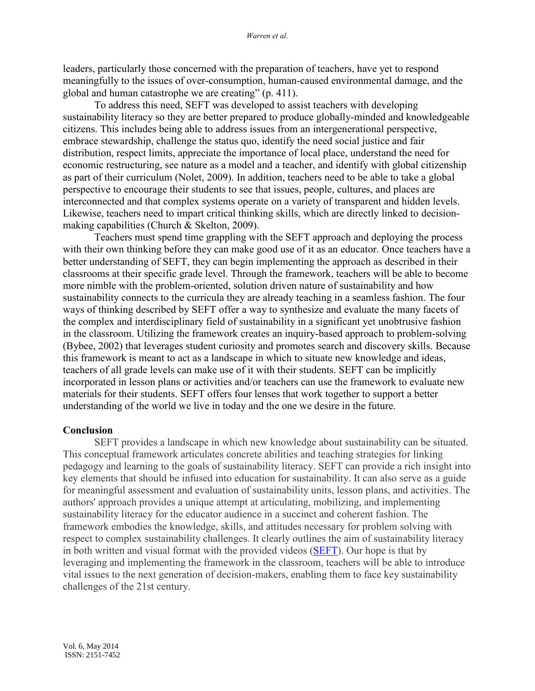leaders, particularly those concerned with the preparation of teachers, have yet to respond meaningfully to the issues of over-consumption, human-caused environmental damage, and the global and human catastrophe we are creating"  $(p. 411)$ .

To address this need, SEFT was developed to assist teachers with developing sustainability literacy so they are better prepared to produce globally-minded and knowledgeable citizens. This includes being able to address issues from an intergenerational perspective, embrace stewardship, challenge the status quo, identify the need social justice and fair distribution, respect limits, appreciate the importance of local place, understand the need for economic restructuring, see nature as a model and a teacher, and identify with global citizenship as part of their curriculum (Nolet, 2009). In addition, teachers need to be able to take a global perspective to encourage their students to see that issues, people, cultures, and places are interconnected and that complex systems operate on a variety of transparent and hidden levels. Likewise, teachers need to impart critical thinking skills, which are directly linked to decisionmaking capabilities (Church & Skelton, 2009).

Teachers must spend time grappling with the SEFT approach and deploying the process with their own thinking before they can make good use of it as an educator. Once teachers have a better understanding of SEFT, they can begin implementing the approach as described in their classrooms at their specific grade level. Through the framework, teachers will be able to become more nimble with the problem-oriented, solution driven nature of sustainability and how sustainability connects to the curricula they are already teaching in a seamless fashion. The four ways of thinking described by SEFT offer a way to synthesize and evaluate the many facets of the complex and interdisciplinary field of sustainability in a significant yet unobtrusive fashion in the classroom. Utilizing the framework creates an inquiry-based approach to problem-solving (Bybee, 2002) that leverages student curiosity and promotes search and discovery skills. Because this framework is meant to act as a landscape in which to situate new knowledge and ideas, teachers of all grade levels can make use of it with their students. SEFT can be implicitly incorporated in lesson plans or activities and/or teachers can use the framework to evaluate new materials for their students. SEFT offers four lenses that work together to support a better understanding of the world we live in today and the one we desire in the future.

### **Conclusion**

SEFT provides a landscape in which new knowledge about sustainability can be situated. This conceptual framework articulates concrete abilities and teaching strategies for linking pedagogy and learning to the goals of sustainability literacy. SEFT can provide a rich insight into key elements that should be infused into education for sustainability. It can also serve as a guide for meaningful assessment and evaluation of sustainability units, lesson plans, and activities. The authors' approach provides a unique attempt at articulating, mobilizing, and implementing sustainability literacy for the educator audience in a succinct and coherent fashion. The framework embodies the knowledge, skills, and attitudes necessary for problem solving with respect to complex sustainability challenges. It clearly outlines the aim of sustainability literacy in both written and visual format with the provided videos [\(SEFT\)](http://sustainabilityscienceeducation.asu.edu/course/sustainability-competencies/). Our hope is that by leveraging and implementing the framework in the classroom, teachers will be able to introduce vital issues to the next generation of decision-makers, enabling them to face key sustainability challenges of the 21st century.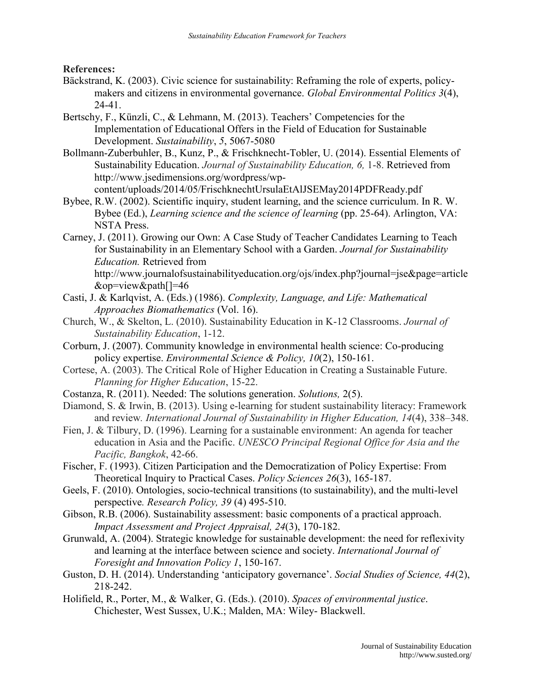**References:**

- Bäckstrand, K. (2003). Civic science for sustainability: Reframing the role of experts, policymakers and citizens in environmental governance. *Global Environmental Politics 3*(4), 24-41.
- Bertschy, F., Künzli, C., & Lehmann, M. (2013). Teachers' Competencies for the Implementation of Educational Offers in the Field of Education for Sustainable Development. *Sustainability*, *5*, 5067-5080
- Bollmann-Zuberbuhler, B., Kunz, P., & Frischknecht-Tobler, U. (2014). Essential Elements of Sustainability Education. *Journal of Sustainability Education, 6,* 1-8. Retrieved from http://www.jsedimensions.org/wordpress/wpcontent/uploads/2014/05/FrischknechtUrsulaEtAlJSEMay2014PDFReady.pdf
- Bybee, R.W. (2002). Scientific inquiry, student learning, and the science curriculum. In R. W. Bybee (Ed.), *Learning science and the science of learning* (pp. 25-64). Arlington, VA: NSTA Press.
- Carney, J. (2011). Growing our Own: A Case Study of Teacher Candidates Learning to Teach for Sustainability in an Elementary School with a Garden. *Journal for Sustainability Education.* Retrieved from http://www.journalofsustainabilityeducation.org/ojs/index.php?journal=jse&page=article
- &op=view&path[]=46 Casti, J. & Karlqvist, A. (Eds.) (1986). *Complexity, Language, and Life: Mathematical Approaches Biomathematics* (Vol. 16).
- Church, W., & Skelton, L. (2010). Sustainability Education in K-12 Classrooms. *Journal of Sustainability Education*, 1-12.
- Corburn, J. (2007). Community knowledge in environmental health science: Co-producing policy expertise. *Environmental Science & Policy, 10*(2), 150-161.
- Cortese, A. (2003). The Critical Role of Higher Education in Creating a Sustainable Future. *Planning for Higher Education*, 15-22.
- Costanza, R. (2011). Needed: The solutions generation. *Solutions,* 2(5).
- Diamond, S. & Irwin, B. (2013). Using e-learning for student sustainability literacy: Framework and review*. International Journal of Sustainability in Higher Education, 14*(4), 338–348.
- Fien, J. & Tilbury, D. (1996). Learning for a sustainable environment: An agenda for teacher education in Asia and the Pacific. *UNESCO Principal Regional Office for Asia and the Pacific, Bangkok*, 42-66.
- Fischer, F. (1993). Citizen Participation and the Democratization of Policy Expertise: From Theoretical Inquiry to Practical Cases. *Policy Sciences 26*(3), 165-187.
- Geels, F. (2010). Ontologies, socio-technical transitions (to sustainability), and the multi-level perspective*. Research Policy, 39* (4) 495-510.
- Gibson, R.B. (2006). Sustainability assessment: basic components of a practical approach. *Impact Assessment and Project Appraisal, 24*(3), 170-182.
- Grunwald, A. (2004). Strategic knowledge for sustainable development: the need for reflexivity and learning at the interface between science and society. *International Journal of Foresight and Innovation Policy 1*, 150-167.
- Guston, D. H. (2014). Understanding 'anticipatory governance'. *Social Studies of Science*, 44(2), 218-242.
- Holifield, R., Porter, M., & Walker, G. (Eds.). (2010). *Spaces of environmental justice*. Chichester, West Sussex, U.K.; Malden, MA: Wiley- Blackwell.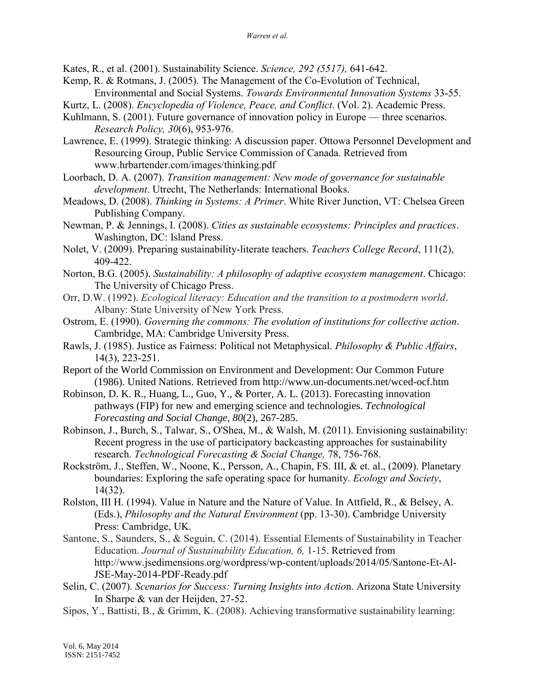Kates, R., et al. (2001). Sustainability Science. *Science, 292 (5517),* 641-642.

- Kemp, R. & Rotmans, J. (2005). The Management of the Co-Evolution of Technical, Environmental and Social Systems. *Towards Environmental Innovation Systems* 33-55.
- Kurtz, L. (2008). *Encyclopedia of Violence, Peace, and Conflict*. (Vol. 2). Academic Press.
- Kuhlmann, S. (2001). Future governance of innovation policy in Europe three scenarios. *Research Policy, 30*(6), 953-976.
- Lawrence, E. (1999). Strategic thinking: A discussion paper. Ottowa Personnel Development and Resourcing Group, Public Service Commission of Canada. Retrieved from www.hrbartender.com/images/thinking.pdf
- Loorbach, D. A. (2007). *Transition management: New mode of governance for sustainable development*. Utrecht, The Netherlands: International Books.
- Meadows, D. (2008). *Thinking in Systems: A Primer*. White River Junction, VT: Chelsea Green Publishing Company.
- Newman, P. & Jennings, I. (2008). *Cities as sustainable ecosystems: Principles and practices*. Washington, DC: Island Press.
- Nolet, V. (2009). Preparing sustainability-literate teachers. *Teachers College Record*, 111(2), 409-422.
- Norton, B.G. (2005). *Sustainability: A philosophy of adaptive ecosystem management*. Chicago: The University of Chicago Press.
- Orr, D.W. (1992). *Ecological literacy: Education and the transition to a postmodern world*. Albany: State University of New York Press.
- Ostrom, E. (1990). *Governing the commons: The evolution of institutions for collective action*. Cambridge, MA: Cambridge University Press.
- Rawls, J. (1985). Justice as Fairness: Political not Metaphysical. *Philosophy & Public Affairs*, 14(3), 223-251.
- Report of the World Commission on Environment and Development: Our Common Future (1986). United Nations. Retrieved from http://www.un-documents.net/wced-ocf.htm
- Robinson, D. K. R., Huang, L., Guo, Y., & Porter, A. L. (2013). Forecasting innovation pathways (FIP) for new and emerging science and technologies. *Technological Forecasting and Social Change, 80*(2), 267-285.
- Robinson, J., Burch, S., Talwar, S., O'Shea, M., & Walsh, M. (2011). Envisioning sustainability: Recent progress in the use of participatory backcasting approaches for sustainability research. *Technological Forecasting & Social Change,* 78, 756-768.
- Rockström, J., Steffen, W., Noone, K., Persson, A., Chapin, FS. III, & et. al., (2009). Planetary boundaries: Exploring the safe operating space for humanity. *Ecology and Society*, 14(32).
- Rolston, III H. (1994). Value in Nature and the Nature of Value. In Attfield, R., & Belsey, A. (Eds.), *Philosophy and the Natural Environment* (pp. 13-30). Cambridge University Press: Cambridge, UK.
- Santone, S., Saunders, S., & Seguin, C. (2014). Essential Elements of Sustainability in Teacher Education. *Journal of Sustainability Education, 6,* 1-15. Retrieved from http://www.jsedimensions.org/wordpress/wp-content/uploads/2014/05/Santone-Et-Al-JSE-May-2014-PDF-Ready.pdf
- Selin, C. (2007). *Scenarios for Success: Turning Insights into Actio*n. Arizona State University In Sharpe & van der Heijden, 27-52.
- Sipos, Y., Battisti, B., & Grimm, K. (2008). Achieving transformative sustainability learning: